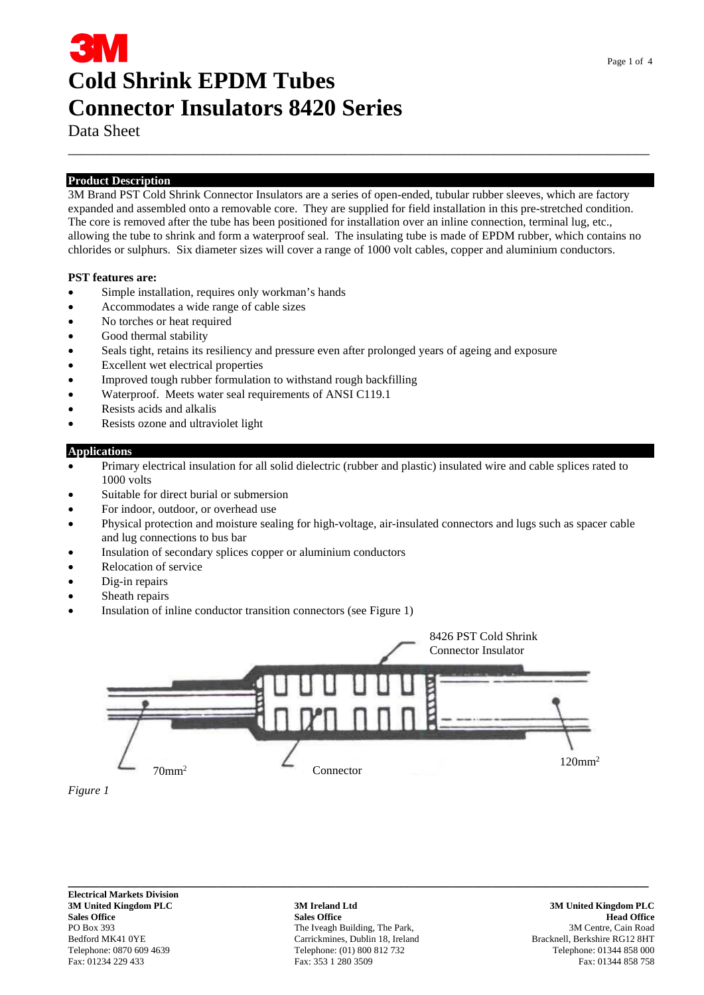# **Cold Shrink EPDM Tubes Connector Insulators 8420 Series**

Data Sheet

#### **Product Description**

3M Brand PST Cold Shrink Connector Insulators are a series of open-ended, tubular rubber sleeves, which are factory expanded and assembled onto a removable core. They are supplied for field installation in this pre-stretched condition. The core is removed after the tube has been positioned for installation over an inline connection, terminal lug, etc., allowing the tube to shrink and form a waterproof seal. The insulating tube is made of EPDM rubber, which contains no chlorides or sulphurs. Six diameter sizes will cover a range of 1000 volt cables, copper and aluminium conductors.

\_\_\_\_\_\_\_\_\_\_\_\_\_\_\_\_\_\_\_\_\_\_\_\_\_\_\_\_\_\_\_\_\_\_\_\_\_\_\_\_\_\_\_\_\_\_\_\_\_\_\_\_\_\_\_\_\_\_\_\_\_\_\_\_\_\_\_\_\_\_\_\_\_\_\_\_\_\_\_\_\_\_

#### **PST features are:**

- Simple installation, requires only workman's hands
- Accommodates a wide range of cable sizes
- No torches or heat required
- Good thermal stability
- Seals tight, retains its resiliency and pressure even after prolonged years of ageing and exposure
- Excellent wet electrical properties
- Improved tough rubber formulation to withstand rough backfilling
- Waterproof. Meets water seal requirements of ANSI C119.1
- Resists acids and alkalis
- Resists ozone and ultraviolet light

#### **Applications**

- Primary electrical insulation for all solid dielectric (rubber and plastic) insulated wire and cable splices rated to 1000 volts
- Suitable for direct burial or submersion
- For indoor, outdoor, or overhead use
- Physical protection and moisture sealing for high-voltage, air-insulated connectors and lugs such as spacer cable and lug connections to bus bar
- Insulation of secondary splices copper or aluminium conductors
- Relocation of service
- Dig-in repairs
- Sheath repairs
- Insulation of inline conductor transition connectors (see Figure 1)





**\_\_\_\_\_\_\_\_\_\_\_\_\_\_\_\_\_\_\_\_\_\_\_\_\_\_\_\_\_\_\_\_\_\_\_\_\_\_\_\_\_\_\_\_\_\_\_\_\_\_\_\_\_\_\_\_\_\_\_\_\_\_\_\_\_\_\_\_\_\_\_\_\_\_\_\_\_\_\_\_\_\_\_\_\_\_\_\_\_ Electrical Markets Division** 

**3M United Kingdom PLC 3M Ireland Ltd 3M United Kingdom PLC Sales Office All and Sales Office Sales Office Sales Office All and Sales Office All and Sales Office All and Sales Office All and Sales Office All and Sales Office All and Sales Office All and Sales Office All and Sales** PO Box 393 The Iveagh Building, The Park, 393 3M Centre, Cain Road Bedford MK41 0YE Carrickmines, Dublin 18, Ireland Bracknell, Berkshire RG12 8HT<br>Telephone: 0870 609 4639 Telephone: (01) 800 812 732 Telephone: 01344 858 000 Telephone: 0870 609 4639 Telephone: (01) 800 812 732 Telephone: 01344 858 000 Fax: 01234 229 433 Telephone: 01344 858 758 Fax: 01234 229 433 Fax: 01234 858 758 Fax: 01234 858 758 Fax: 01234 858 758 Fax: 01234 858 758 Fax: Fax: 353 1 280 3509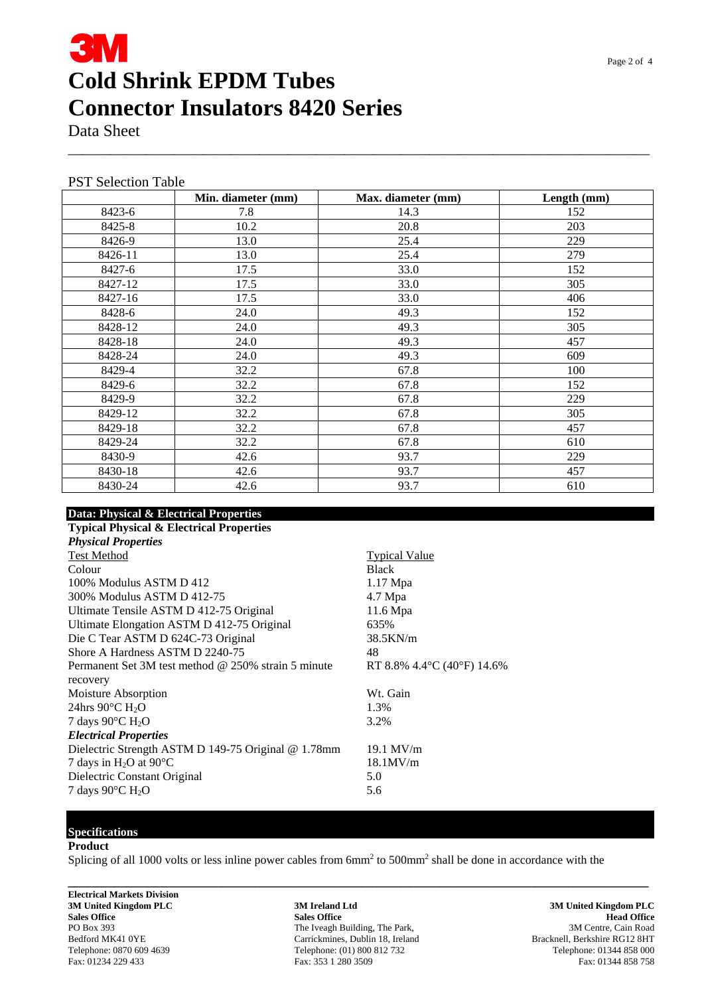### **3M Cold Shrink EPDM Tubes Connector Insulators 8420 Series**

Data Sheet

|  | <b>PST Selection Table</b> |  |
|--|----------------------------|--|
|--|----------------------------|--|

|         | Min. diameter (mm) | Max. diameter (mm) | Length (mm) |
|---------|--------------------|--------------------|-------------|
| 8423-6  | 7.8                | 14.3               | 152         |
| 8425-8  | 10.2               | 20.8               | 203         |
| 8426-9  | 13.0               | 25.4               | 229         |
| 8426-11 | 13.0               | 25.4               | 279         |
| 8427-6  | 17.5               | 33.0               | 152         |
| 8427-12 | 17.5               | 33.0               | 305         |
| 8427-16 | 17.5               | 33.0               | 406         |
| 8428-6  | 24.0               | 49.3               | 152         |
| 8428-12 | 24.0               | 49.3               | 305         |
| 8428-18 | 24.0               | 49.3               | 457         |
| 8428-24 | 24.0               | 49.3               | 609         |
| 8429-4  | 32.2               | 67.8               | 100         |
| 8429-6  | 32.2               | 67.8               | 152         |
| 8429-9  | 32.2               | 67.8               | 229         |
| 8429-12 | 32.2               | 67.8               | 305         |
| 8429-18 | 32.2               | 67.8               | 457         |
| 8429-24 | 32.2               | 67.8               | 610         |
| 8430-9  | 42.6               | 93.7               | 229         |
| 8430-18 | 42.6               | 93.7               | 457         |
| 8430-24 | 42.6               | 93.7               | 610         |

\_\_\_\_\_\_\_\_\_\_\_\_\_\_\_\_\_\_\_\_\_\_\_\_\_\_\_\_\_\_\_\_\_\_\_\_\_\_\_\_\_\_\_\_\_\_\_\_\_\_\_\_\_\_\_\_\_\_\_\_\_\_\_\_\_\_\_\_\_\_\_\_\_\_\_\_\_\_\_\_\_\_

#### **Data: Physical & Electrical Properties**

| <b>Typical Physical &amp; Electrical Properties</b> |                              |  |
|-----------------------------------------------------|------------------------------|--|
| <b>Physical Properties</b>                          |                              |  |
| <b>Test Method</b>                                  | <b>Typical Value</b>         |  |
| Colour                                              | <b>Black</b>                 |  |
| 100% Modulus ASTM D 412                             | $1.17$ Mpa                   |  |
| 300% Modulus ASTM D 412-75                          | 4.7 Mpa                      |  |
| Ultimate Tensile ASTM D 412-75 Original             | 11.6 Mpa                     |  |
| Ultimate Elongation ASTM D 412-75 Original          | 635%                         |  |
| Die C Tear ASTM D 624C-73 Original                  | 38.5KN/m                     |  |
| Shore A Hardness ASTM D 2240-75                     | 48                           |  |
| Permanent Set 3M test method @ 250% strain 5 minute | RT 8.8% 4.4 °C (40 °F) 14.6% |  |
| recovery                                            |                              |  |
| Moisture Absorption                                 | Wt. Gain                     |  |
| 24hrs $90^{\circ}$ C H <sub>2</sub> O               | 1.3%                         |  |
| 7 days 90 $\rm ^{\circ}C$ H <sub>2</sub> O          | 3.2%                         |  |
| <b>Electrical Properties</b>                        |                              |  |
| Dielectric Strength ASTM D 149-75 Original @ 1.78mm | $19.1$ MV/m                  |  |
| 7 days in H <sub>2</sub> O at $90^{\circ}$ C        | $18.1$ MV/m                  |  |
| Dielectric Constant Original                        | 5.0                          |  |
| 7 days $90^{\circ}$ C H <sub>2</sub> O              | 5.6                          |  |
|                                                     |                              |  |

### **Specifications**

#### **Product**

Splicing of all 1000 volts or less inline power cables from  $6mm<sup>2</sup>$  to  $500mm<sup>2</sup>$  shall be done in accordance with the

**Electrical Markets Division** 

**3M United Kingdom PLC 3M Ireland Ltd 3M United Kingdom PLC Sales Office All and Sales Office Sales Office Sales Office All and Sales Office All and Sales Office All and Sales Office All and Sales Office All and Sales Office All and Sales Office All and Sales Office All and Sales** PO Box 393 The Iveagh Building, The Park, 393 3M Centre, Cain Road<br>Bedford MK41 0YE Carrickmines, Dublin 18, Ireland Beats Bracknell, Berkshire RG12 8HT Bedford MK41 0YE Carrickmines, Dublin 18, Ireland Bracknell, Berkshire RG12 8HT Telephone: 0870 609 4639 Carrickmines, Dublin 18, Ireland Bracknell, Berkshire RG12 8HT Telephone: 01344 858 000 Telephone: 0870 609 4639 Telephone: (01) 800 812 732 Telephone: 01344 858 000 Fax: 01234 229 433 Telephone: 01344 858 758 Fax: 01234 229 433 Fax: 01234 858 758 Fax: 01234 858 758 Fax: 01234 858 758 Fax: 01234 858 758 Fax: Fax: 353 1 280 3509

**\_\_\_\_\_\_\_\_\_\_\_\_\_\_\_\_\_\_\_\_\_\_\_\_\_\_\_\_\_\_\_\_\_\_\_\_\_\_\_\_\_\_\_\_\_\_\_\_\_\_\_\_\_\_\_\_\_\_\_\_\_\_\_\_\_\_\_\_\_\_\_\_\_\_\_\_\_\_\_\_\_\_\_\_\_\_\_\_\_**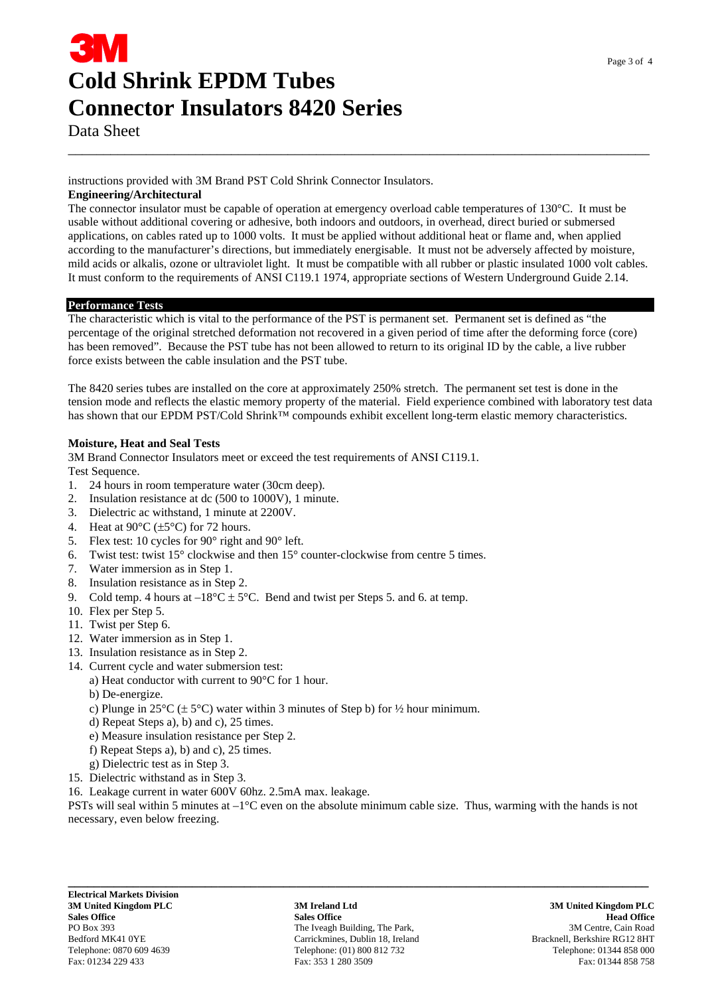## **Cold Shrink EPDM Tubes Connector Insulators 8420 Series**

Data Sheet

instructions provided with 3M Brand PST Cold Shrink Connector Insulators.

#### **Engineering/Architectural**

The connector insulator must be capable of operation at emergency overload cable temperatures of 130°C. It must be usable without additional covering or adhesive, both indoors and outdoors, in overhead, direct buried or submersed applications, on cables rated up to 1000 volts. It must be applied without additional heat or flame and, when applied according to the manufacturer's directions, but immediately energisable. It must not be adversely affected by moisture, mild acids or alkalis, ozone or ultraviolet light. It must be compatible with all rubber or plastic insulated 1000 volt cables. It must conform to the requirements of ANSI C119.1 1974, appropriate sections of Western Underground Guide 2.14.

\_\_\_\_\_\_\_\_\_\_\_\_\_\_\_\_\_\_\_\_\_\_\_\_\_\_\_\_\_\_\_\_\_\_\_\_\_\_\_\_\_\_\_\_\_\_\_\_\_\_\_\_\_\_\_\_\_\_\_\_\_\_\_\_\_\_\_\_\_\_\_\_\_\_\_\_\_\_\_\_\_\_

#### **Performance Tests**

The characteristic which is vital to the performance of the PST is permanent set. Permanent set is defined as "the percentage of the original stretched deformation not recovered in a given period of time after the deforming force (core) has been removed". Because the PST tube has not been allowed to return to its original ID by the cable, a live rubber force exists between the cable insulation and the PST tube.

The 8420 series tubes are installed on the core at approximately 250% stretch. The permanent set test is done in the tension mode and reflects the elastic memory property of the material. Field experience combined with laboratory test data has shown that our EPDM PST/Cold Shrink™ compounds exhibit excellent long-term elastic memory characteristics.

#### **Moisture, Heat and Seal Tests**

3M Brand Connector Insulators meet or exceed the test requirements of ANSI C119.1. Test Sequence.

- 1. 24 hours in room temperature water (30cm deep).
- 2. Insulation resistance at dc (500 to 1000V), 1 minute.
- 3. Dielectric ac withstand, 1 minute at 2200V.
- 4. Heat at  $90^{\circ}$ C ( $\pm$ 5°C) for 72 hours.
- 5. Flex test: 10 cycles for 90° right and 90° left.
- 6. Twist test: twist 15° clockwise and then 15° counter-clockwise from centre 5 times.
- 7. Water immersion as in Step 1.
- 8. Insulation resistance as in Step 2.
- 9. Cold temp. 4 hours at  $-18^{\circ}$ C  $\pm$  5°C. Bend and twist per Steps 5. and 6. at temp.
- 10. Flex per Step 5.
- 11. Twist per Step 6.
- 12. Water immersion as in Step 1.
- 13. Insulation resistance as in Step 2.
- 14. Current cycle and water submersion test:
	- a) Heat conductor with current to 90°C for 1 hour.
		- b) De-energize.
		- c) Plunge in  $25^{\circ}C \, (\pm 5^{\circ}C)$  water within 3 minutes of Step b) for  $\frac{1}{2}$  hour minimum.
		- d) Repeat Steps a), b) and c), 25 times.
		- e) Measure insulation resistance per Step 2.
		- f) Repeat Steps a), b) and c), 25 times.
	- g) Dielectric test as in Step 3.
- 15. Dielectric withstand as in Step 3.
- 16. Leakage current in water 600V 60hz. 2.5mA max. leakage.

PSTs will seal within 5 minutes at –1°C even on the absolute minimum cable size. Thus, warming with the hands is not necessary, even below freezing.

**3M United Kingdom PLC 3M Ireland Ltd 3M United Kingdom PLC Sales Office All and Sales Office Sales Office Sales Office All and Sales Office All and Sales Office All and Sales Office All and Sales Office All and Sales Office All and Sales Office All and Sales Office All and Sales** PO Box 393 The Iveagh Building, The Park, 393 3M Centre, Cain Road Bedford MK41 0YE Carrickmines, Dublin 18, Ireland Bracknell, Berkshire RG12 8HT Telephone: 0870 609 4639 Telephone: (01) 800 812 732 Telephone: 01344 858 000 Fax: 01234 229 433 Fax: 353 1 280 3509 Fax: 01344 858 758